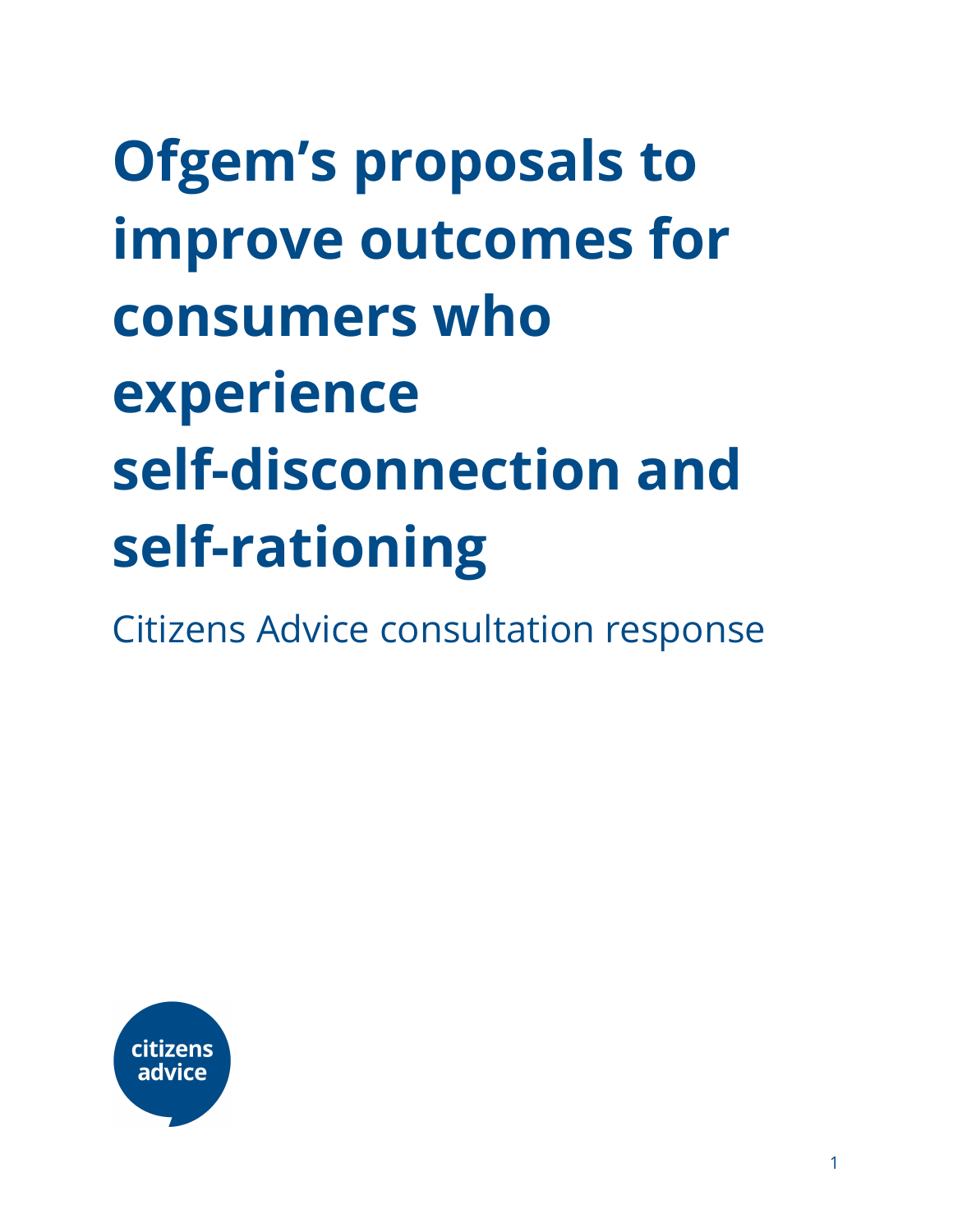# **Ofgem's proposals to improve outcomes for consumers who experience self-disconnection and self-rationing**

Citizens Advice consultation response

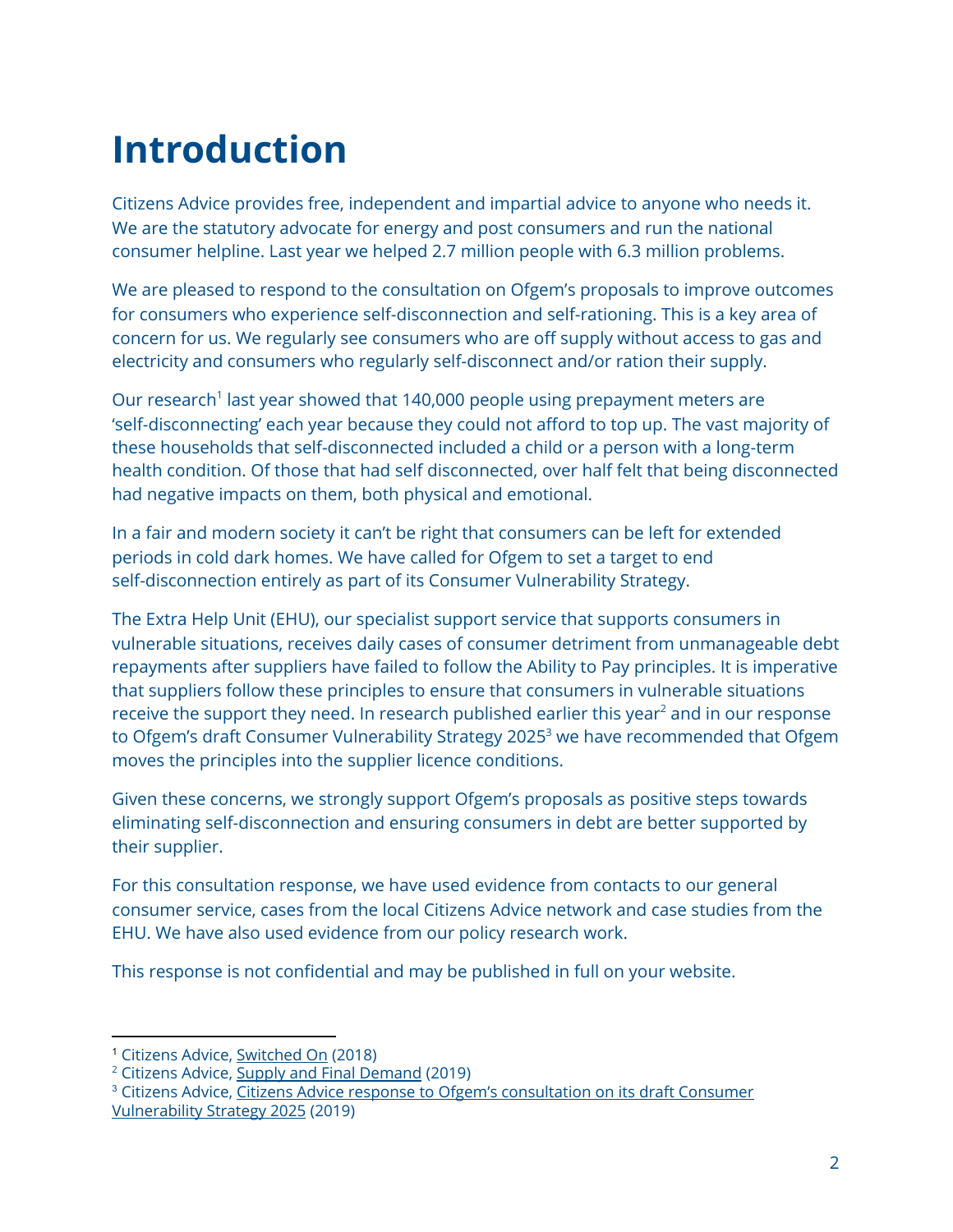# **Introduction**

Citizens Advice provides free, independent and impartial advice to anyone who needs it. We are the statutory advocate for energy and post consumers and run the national consumer helpline. Last year we helped 2.7 million people with 6.3 million problems.

We are pleased to respond to the consultation on Ofgem's proposals to improve outcomes for consumers who experience self-disconnection and self-rationing. This is a key area of concern for us. We regularly see consumers who are off supply without access to gas and electricity and consumers who regularly self-disconnect and/or ration their supply.

Our research<sup>1</sup> last year showed that 140,000 people using prepayment meters are 'self-disconnecting' each year because they could not afford to top up. The vast majority of these households that self-disconnected included a child or a person with a long-term health condition. Of those that had self disconnected, over half felt that being disconnected had negative impacts on them, both physical and emotional.

In a fair and modern society it can't be right that consumers can be left for extended periods in cold dark homes. We have called for Ofgem to set a target to end self-disconnection entirely as part of its Consumer Vulnerability Strategy.

The Extra Help Unit (EHU), our specialist support service that supports consumers in vulnerable situations, receives daily cases of consumer detriment from unmanageable debt repayments after suppliers have failed to follow the Ability to Pay principles. It is imperative that suppliers follow these principles to ensure that consumers in vulnerable situations receive the support they need. In research published earlier this year $^2$  and in our response to Ofgem's draft Consumer Vulnerability Strategy 2025 <sup>3</sup> we have recommended that Ofgem moves the principles into the supplier licence conditions.

Given these concerns, we strongly support Ofgem's proposals as positive steps towards eliminating self-disconnection and ensuring consumers in debt are better supported by their supplier.

For this consultation response, we have used evidence from contacts to our general consumer service, cases from the local Citizens Advice network and case studies from the EHU. We have also used evidence from our policy research work.

This response is not confidential and may be published in full on your website.

<sup>1</sup> Citizens Advice, [Switched](https://www.citizensadvice.org.uk/Global/CitizensAdvice/Energy/PPM%20self-disconnection%20short%20report.pdf) On (2018)

<sup>2</sup> Citizens Advice, Supply and Final [Demand](https://www.citizensadvice.org.uk/Global/CitizensAdvice/Energy/Supply%20and%20final%20demand.pdf) (2019)

<sup>&</sup>lt;sup>3</sup> Citizens Advice, Citizens Advice response to Ofgem's [consultation](https://www.citizensadvice.org.uk/about-us/policy/policy-research-topics/energy-policy-research-and-consultation-responses/energy-consultation-responses/citizens-advice-response-to-ofgems-consultation-on-its-draft-consumer-vulnerability-strategy-2025/) on its draft Consumer [Vulnerability](https://www.citizensadvice.org.uk/about-us/policy/policy-research-topics/energy-policy-research-and-consultation-responses/energy-consultation-responses/citizens-advice-response-to-ofgems-consultation-on-its-draft-consumer-vulnerability-strategy-2025/) Strategy 2025 (2019)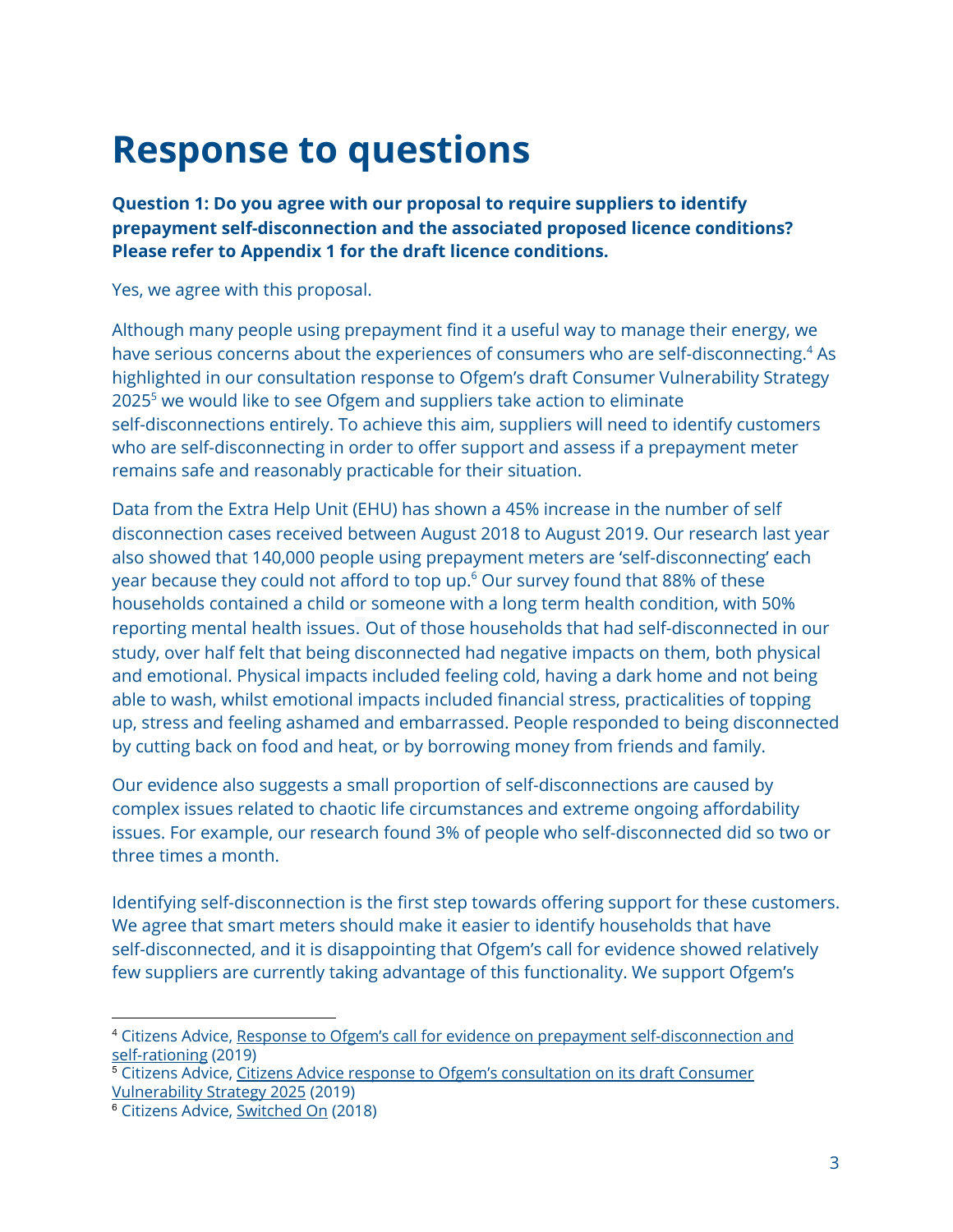# **Response to questions**

**Question 1: Do you agree with our proposal to require suppliers to identify prepayment self-disconnection and the associated proposed licence conditions? Please refer to Appendix 1 for the draft licence conditions.**

Yes, we agree with this proposal.

Although many people using prepayment find it a useful way to manage their energy, we have serious concerns about the experiences of consumers who are self-disconnecting.<sup>4</sup> As highlighted in our consultation response to Ofgem's draft Consumer Vulnerability Strategy  $2025<sup>5</sup>$  we would like to see Ofgem and suppliers take action to eliminate self-disconnections entirely. To achieve this aim, suppliers will need to identify customers who are self-disconnecting in order to offer support and assess if a prepayment meter remains safe and reasonably practicable for their situation.

Data from the Extra Help Unit (EHU) has shown a 45% increase in the number of self disconnection cases received between August 2018 to August 2019. Our research last year also showed that 140,000 people using prepayment meters are 'self-disconnecting' each year because they could not afford to top up. $\textdegree$  Our survey found that 88% of these households contained a child or someone with a long term health condition, with 50% reporting mental health issues. Out of those households that had self-disconnected in our study, over half felt that being disconnected had negative impacts on them, both physical and emotional. Physical impacts included feeling cold, having a dark home and not being able to wash, whilst emotional impacts included financial stress, practicalities of topping up, stress and feeling ashamed and embarrassed. People responded to being disconnected by cutting back on food and heat, or by borrowing money from friends and family.

Our evidence also suggests a small proportion of self-disconnections are caused by complex issues related to chaotic life circumstances and extreme ongoing affordability issues. For example, our research found 3% of people who self-disconnected did so two or three times a month.

Identifying self-disconnection is the first step towards offering support for these customers. We agree that smart meters should make it easier to identify households that have self-disconnected, and it is disappointing that Ofgem's call for evidence showed relatively few suppliers are currently taking advantage of this functionality. We support Ofgem's

<sup>4</sup> Citizens Advice, Response to Ofgem's call for evidence on prepayment [self-disconnection](https://www.citizensadvice.org.uk/about-us/policy/policy-research-topics/energy-policy-research-and-consultation-responses/energy-consultation-responses/response-to-ofgems-call-for-evidence-on-prepayment-self-disconnection-and-self-rationing/) and [self-rationing](https://www.citizensadvice.org.uk/about-us/policy/policy-research-topics/energy-policy-research-and-consultation-responses/energy-consultation-responses/response-to-ofgems-call-for-evidence-on-prepayment-self-disconnection-and-self-rationing/) (2019)

<sup>5</sup> Citizens Advice, Citizens Advice response to Ofgem's [consultation](https://www.citizensadvice.org.uk/about-us/policy/policy-research-topics/energy-policy-research-and-consultation-responses/energy-consultation-responses/citizens-advice-response-to-ofgems-consultation-on-its-draft-consumer-vulnerability-strategy-2025/) on its draft Consumer [Vulnerability](https://www.citizensadvice.org.uk/about-us/policy/policy-research-topics/energy-policy-research-and-consultation-responses/energy-consultation-responses/citizens-advice-response-to-ofgems-consultation-on-its-draft-consumer-vulnerability-strategy-2025/) Strategy 2025 (2019)

<sup>6</sup> Citizens Advice, [Switched](https://www.citizensadvice.org.uk/about-us/policy/policy-research-topics/energy-policy-research-and-consultation-responses/energy-policy-research/improving-support-for-prepay-customers-self-disconnecting/) On (2018)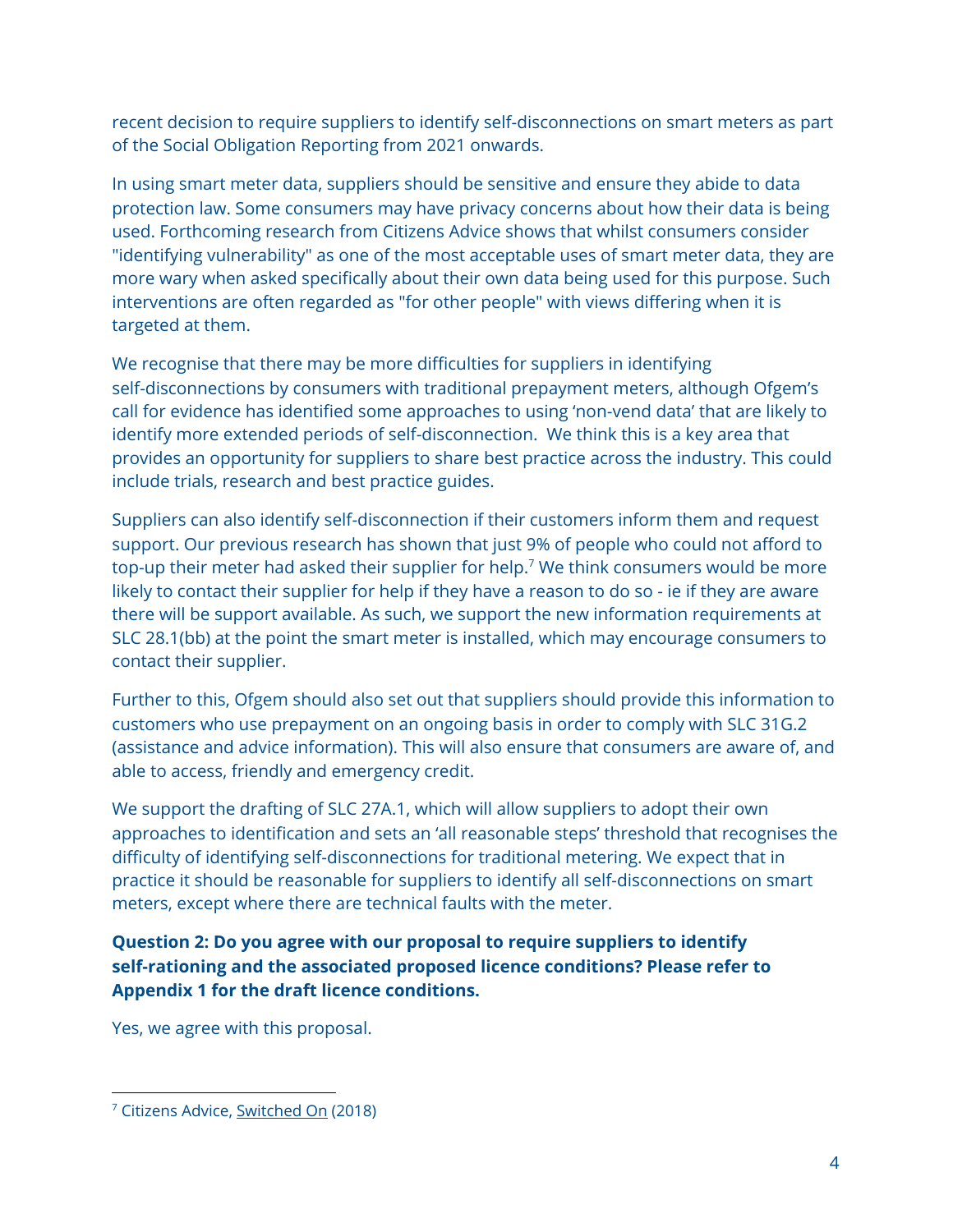recent decision to require suppliers to identify self-disconnections on smart meters as part of the Social Obligation Reporting from 2021 onwards.

In using smart meter data, suppliers should be sensitive and ensure they abide to data protection law. Some consumers may have privacy concerns about how their data is being used. Forthcoming research from Citizens Advice shows that whilst consumers consider "identifying vulnerability" as one of the most acceptable uses of smart meter data, they are more wary when asked specifically about their own data being used for this purpose. Such interventions are often regarded as "for other people" with views differing when it is targeted at them.

We recognise that there may be more difficulties for suppliers in identifying self-disconnections by consumers with traditional prepayment meters, although Ofgem's call for evidence has identified some approaches to using 'non-vend data' that are likely to identify more extended periods of self-disconnection. We think this is a key area that provides an opportunity for suppliers to share best practice across the industry. This could include trials, research and best practice guides.

Suppliers can also identify self-disconnection if their customers inform them and request support. Our previous research has shown that just 9% of people who could not afford to top-up their meter had asked their supplier for help. $7$  We think consumers would be more likely to contact their supplier for help if they have a reason to do so - ie if they are aware there will be support available. As such, we support the new information requirements at SLC 28.1(bb) at the point the smart meter is installed, which may encourage consumers to contact their supplier.

Further to this, Ofgem should also set out that suppliers should provide this information to customers who use prepayment on an ongoing basis in order to comply with SLC 31G.2 (assistance and advice information). This will also ensure that consumers are aware of, and able to access, friendly and emergency credit.

We support the drafting of SLC 27A.1, which will allow suppliers to adopt their own approaches to identification and sets an 'all reasonable steps' threshold that recognises the difficulty of identifying self-disconnections for traditional metering. We expect that in practice it should be reasonable for suppliers to identify all self-disconnections on smart meters, except where there are technical faults with the meter.

# **Question 2: Do you agree with our proposal to require suppliers to identify self-rationing and the associated proposed licence conditions? Please refer to Appendix 1 for the draft licence conditions.**

Yes, we agree with this proposal.

<sup>&</sup>lt;sup>7</sup> Citizens Advice, [Switched](https://www.citizensadvice.org.uk/Global/CitizensAdvice/Energy/PPM%20self-disconnection%20short%20report.pdf) On (2018)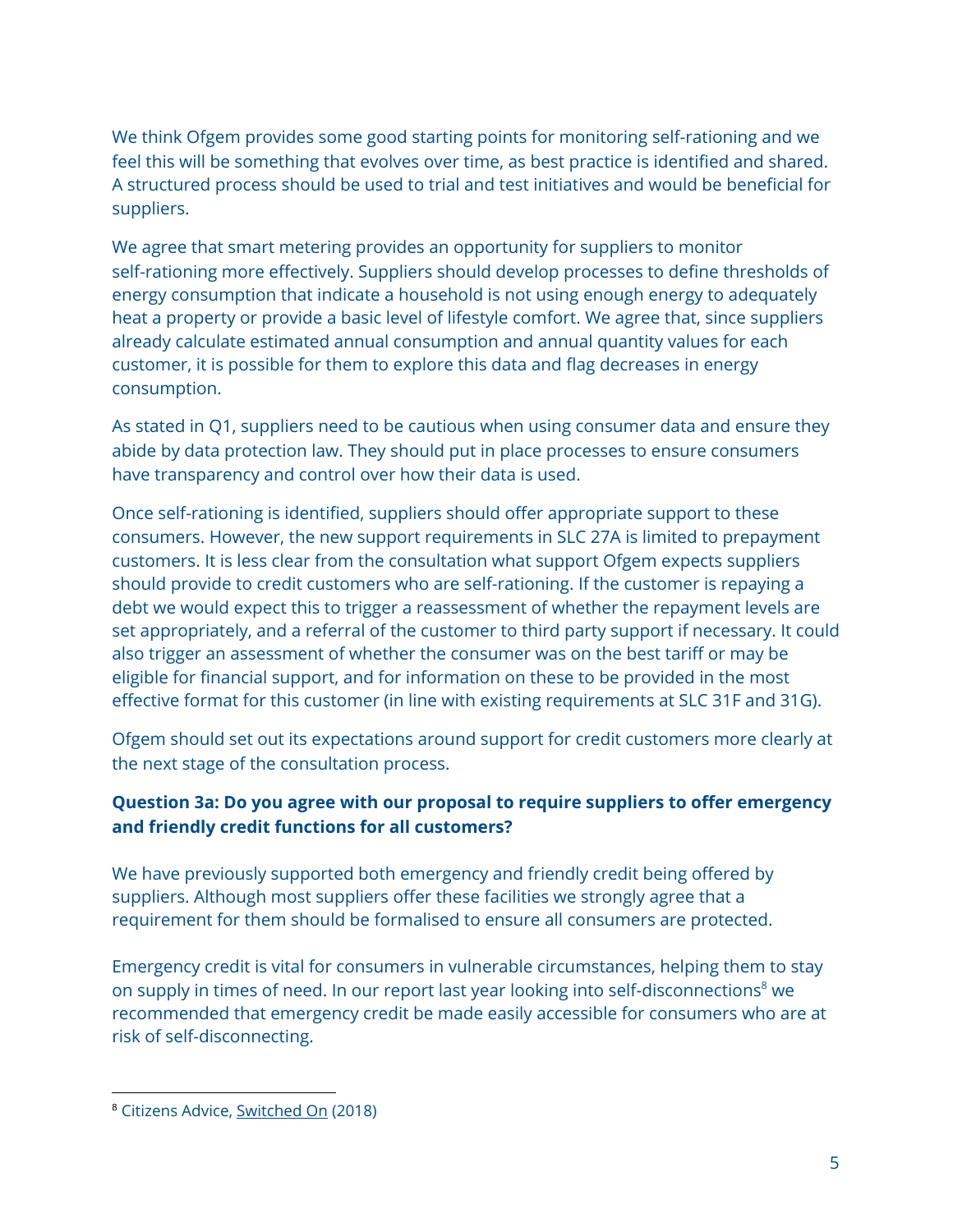We think Ofgem provides some good starting points for monitoring self-rationing and we feel this will be something that evolves over time, as best practice is identified and shared. A structured process should be used to trial and test initiatives and would be beneficial for suppliers.

We agree that smart metering provides an opportunity for suppliers to monitor self-rationing more effectively. Suppliers should develop processes to define thresholds of energy consumption that indicate a household is not using enough energy to adequately heat a property or provide a basic level of lifestyle comfort. We agree that, since suppliers already calculate estimated annual consumption and annual quantity values for each customer, it is possible for them to explore this data and flag decreases in energy consumption.

As stated in Q1, suppliers need to be cautious when using consumer data and ensure they abide by data protection law. They should put in place processes to ensure consumers have transparency and control over how their data is used.

Once self-rationing is identified, suppliers should offer appropriate support to these consumers. However, the new support requirements in SLC 27A is limited to prepayment customers. It is less clear from the consultation what support Ofgem expects suppliers should provide to credit customers who are self-rationing. If the customer is repaying a debt we would expect this to trigger a reassessment of whether the repayment levels are set appropriately, and a referral of the customer to third party support if necessary. It could also trigger an assessment of whether the consumer was on the best tariff or may be eligible for financial support, and for information on these to be provided in the most effective format for this customer (in line with existing requirements at SLC 31F and 31G).

Ofgem should set out its expectations around support for credit customers more clearly at the next stage of the consultation process.

# **Question 3a: Do you agree with our proposal to require suppliers to offer emergency and friendly credit functions for all customers?**

We have previously supported both emergency and friendly credit being offered by suppliers. Although most suppliers offer these facilities we strongly agree that a requirement for them should be formalised to ensure all consumers are protected.

Emergency credit is vital for consumers in vulnerable circumstances, helping them to stay on supply in times of need. In our report last year looking into self-disconnections<sup>8</sup> we recommended that emergency credit be made easily accessible for consumers who are at risk of self-disconnecting.

<sup>8</sup> Citizens Advice, [Switched](https://www.citizensadvice.org.uk/Global/CitizensAdvice/Energy/PPM%20self-disconnection%20short%20report.pdf) On (2018)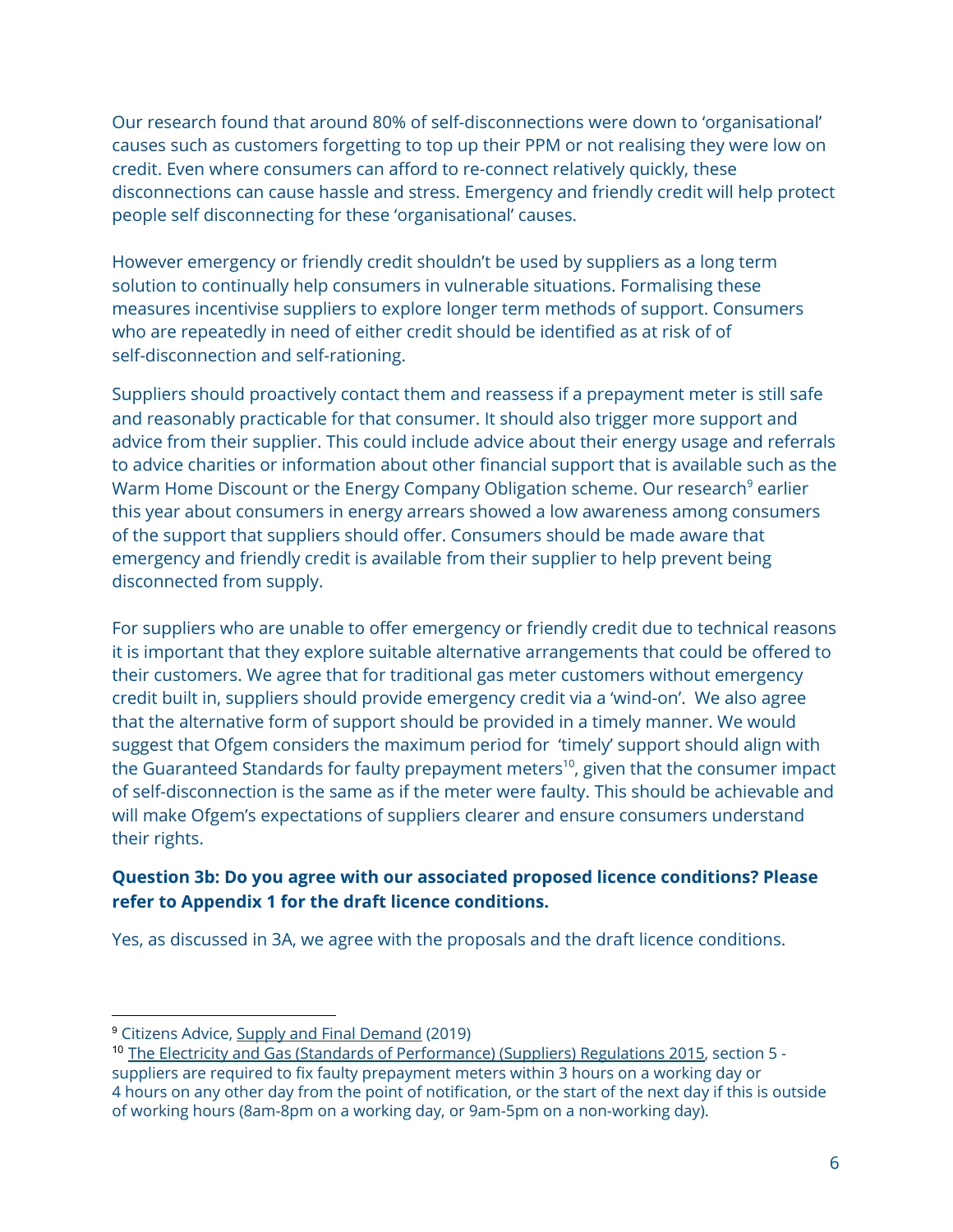Our research found that around 80% of self-disconnections were down to 'organisational' causes such as customers forgetting to top up their PPM or not realising they were low on credit. Even where consumers can afford to re-connect relatively quickly, these disconnections can cause hassle and stress. Emergency and friendly credit will help protect people self disconnecting for these 'organisational' causes.

However emergency or friendly credit shouldn't be used by suppliers as a long term solution to continually help consumers in vulnerable situations. Formalising these measures incentivise suppliers to explore longer term methods of support. Consumers who are repeatedly in need of either credit should be identified as at risk of of self-disconnection and self-rationing.

Suppliers should proactively contact them and reassess if a prepayment meter is still safe and reasonably practicable for that consumer. It should also trigger more support and advice from their supplier. This could include advice about their energy usage and referrals to advice charities or information about other financial support that is available such as the Warm Home Discount or the Energy Company Obligation scheme. Our research<sup>9</sup> earlier this year about consumers in energy arrears showed a low awareness among consumers of the support that suppliers should offer. Consumers should be made aware that emergency and friendly credit is available from their supplier to help prevent being disconnected from supply.

For suppliers who are unable to offer emergency or friendly credit due to technical reasons it is important that they explore suitable alternative arrangements that could be offered to their customers. We agree that for traditional gas meter customers without emergency credit built in, suppliers should provide emergency credit via a 'wind-on'. We also agree that the alternative form of support should be provided in a timely manner. We would suggest that Ofgem considers the maximum period for 'timely' support should align with the Guaranteed Standards for faulty prepayment meters $^{\rm 10}$ , given that the consumer impact of self-disconnection is the same as if the meter were faulty. This should be achievable and will make Ofgem's expectations of suppliers clearer and ensure consumers understand their rights.

## **Question 3b: Do you agree with our associated proposed licence conditions? Please refer to Appendix 1 for the draft licence conditions.**

Yes, as discussed in 3A, we agree with the proposals and the draft licence conditions.

<sup>9</sup> Citizens Advice, Supply and Final [Demand](https://www.citizensadvice.org.uk/Global/CitizensAdvice/Energy/Supply%20and%20final%20demand.pdf) (2019)

<sup>10</sup> The Electricity and Gas (Standards of [Performance\)](http://www.legislation.gov.uk/uksi/2015/1544/pdfs/uksi_20151544_en.pdf) (Suppliers) Regulations 2015, section 5 suppliers are required to fix faulty prepayment meters within 3 hours on a working day or 4 hours on any other day from the point of notification, or the start of the next day if this is outside of working hours (8am-8pm on a working day, or 9am-5pm on a non-working day).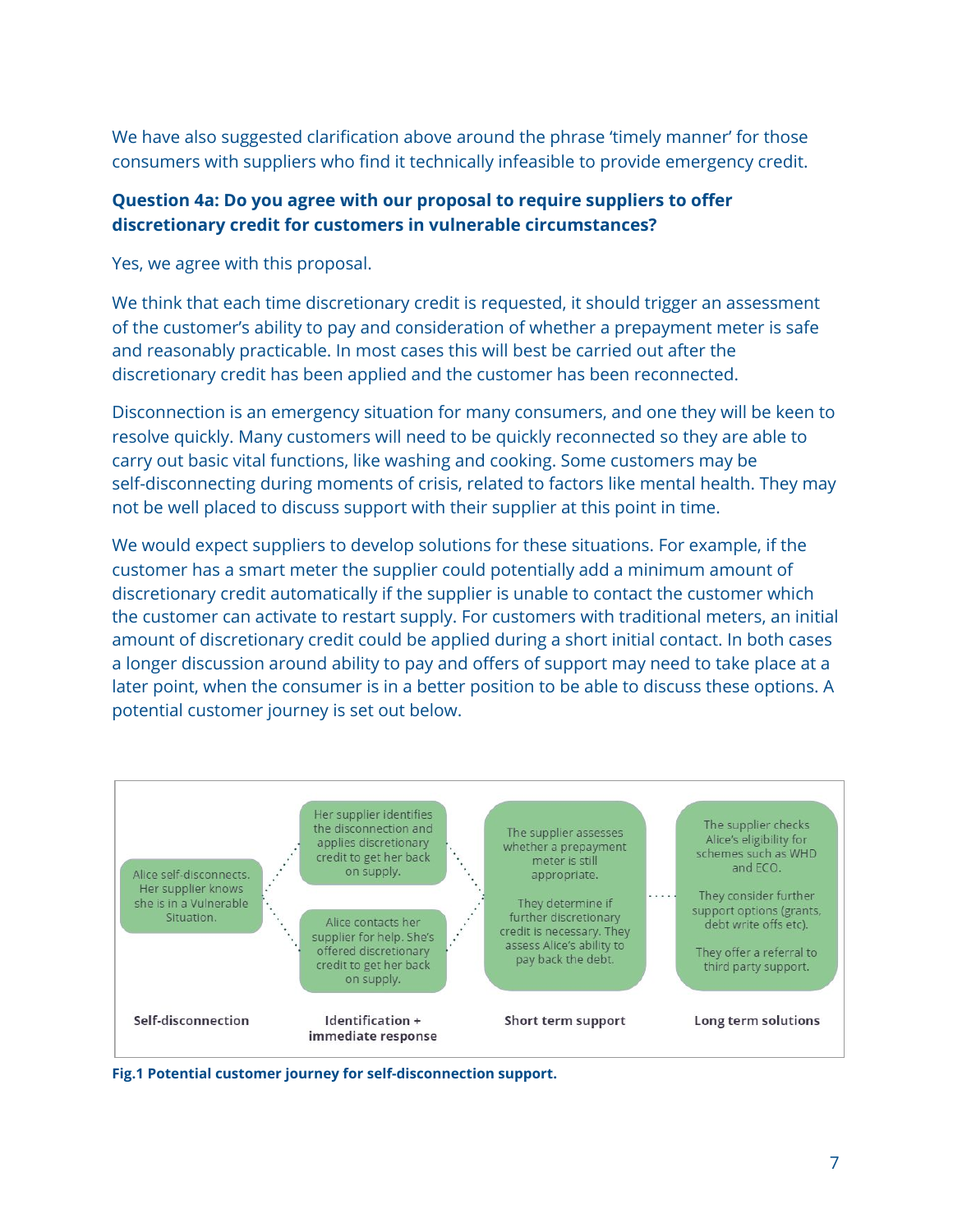We have also suggested clarification above around the phrase 'timely manner' for those consumers with suppliers who find it technically infeasible to provide emergency credit.

#### **Question 4a: Do you agree with our proposal to require suppliers to offer discretionary credit for customers in vulnerable circumstances?**

Yes, we agree with this proposal.

We think that each time discretionary credit is requested, it should trigger an assessment of the customer's ability to pay and consideration of whether a prepayment meter is safe and reasonably practicable. In most cases this will best be carried out after the discretionary credit has been applied and the customer has been reconnected.

Disconnection is an emergency situation for many consumers, and one they will be keen to resolve quickly. Many customers will need to be quickly reconnected so they are able to carry out basic vital functions, like washing and cooking. Some customers may be self-disconnecting during moments of crisis, related to factors like mental health. They may not be well placed to discuss support with their supplier at this point in time.

We would expect suppliers to develop solutions for these situations. For example, if the customer has a smart meter the supplier could potentially add a minimum amount of discretionary credit automatically if the supplier is unable to contact the customer which the customer can activate to restart supply. For customers with traditional meters, an initial amount of discretionary credit could be applied during a short initial contact. In both cases a longer discussion around ability to pay and offers of support may need to take place at a later point, when the consumer is in a better position to be able to discuss these options. A potential customer journey is set out below.



**Fig.1 Potential customer journey for self-disconnection support.**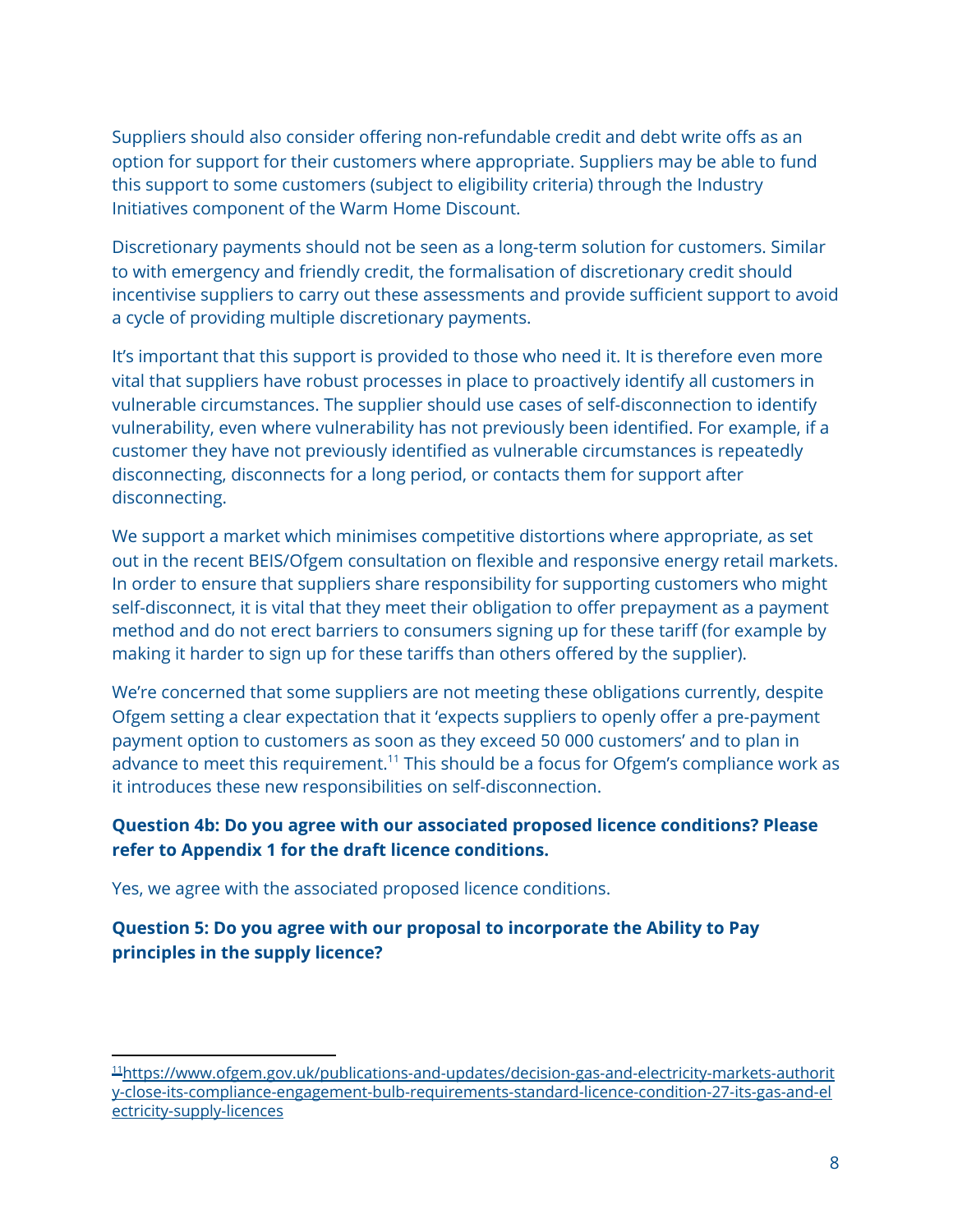Suppliers should also consider offering non-refundable credit and debt write offs as an option for support for their customers where appropriate. Suppliers may be able to fund this support to some customers (subject to eligibility criteria) through the Industry Initiatives component of the Warm Home Discount.

Discretionary payments should not be seen as a long-term solution for customers. Similar to with emergency and friendly credit, the formalisation of discretionary credit should incentivise suppliers to carry out these assessments and provide sufficient support to avoid a cycle of providing multiple discretionary payments.

It's important that this support is provided to those who need it. It is therefore even more vital that suppliers have robust processes in place to proactively identify all customers in vulnerable circumstances. The supplier should use cases of self-disconnection to identify vulnerability, even where vulnerability has not previously been identified. For example, if a customer they have not previously identified as vulnerable circumstances is repeatedly disconnecting, disconnects for a long period, or contacts them for support after disconnecting.

We support a market which minimises competitive distortions where appropriate, as set out in the recent BEIS/Ofgem consultation on flexible and responsive energy retail markets. In order to ensure that suppliers share responsibility for supporting customers who might self-disconnect, it is vital that they meet their obligation to offer prepayment as a payment method and do not erect barriers to consumers signing up for these tariff (for example by making it harder to sign up for these tariffs than others offered by the supplier).

We're concerned that some suppliers are not meeting these obligations currently, despite Ofgem setting a clear expectation that it 'expects suppliers to openly offer a pre-payment payment option to customers as soon as they exceed 50 000 customers' and to plan in advance to meet this requirement.<sup>11</sup> This should be a focus for Ofgem's compliance work as it introduces these new responsibilities on self-disconnection.

## **Question 4b: Do you agree with our associated proposed licence conditions? Please refer to Appendix 1 for the draft licence conditions.**

Yes, we agree with the associated proposed licence conditions.

## **Question 5: Do you agree with our proposal to incorporate the Ability to Pay principles in the supply licence?**

<sup>11</sup>[https://www.ofgem.gov.uk/publications-and-updates/decision-gas-and-electricity-markets-authorit](https://www.ofgem.gov.uk/publications-and-updates/decision-gas-and-electricity-markets-authority-close-its-compliance-engagement-bulb-requirements-standard-licence-condition-27-its-gas-and-electricity-supply-licences) [y-close-its-compliance-engagement-bulb-requirements-standard-licence-condition-27-its-gas-and-el](https://www.ofgem.gov.uk/publications-and-updates/decision-gas-and-electricity-markets-authority-close-its-compliance-engagement-bulb-requirements-standard-licence-condition-27-its-gas-and-electricity-supply-licences) [ectricity-supply-licences](https://www.ofgem.gov.uk/publications-and-updates/decision-gas-and-electricity-markets-authority-close-its-compliance-engagement-bulb-requirements-standard-licence-condition-27-its-gas-and-electricity-supply-licences)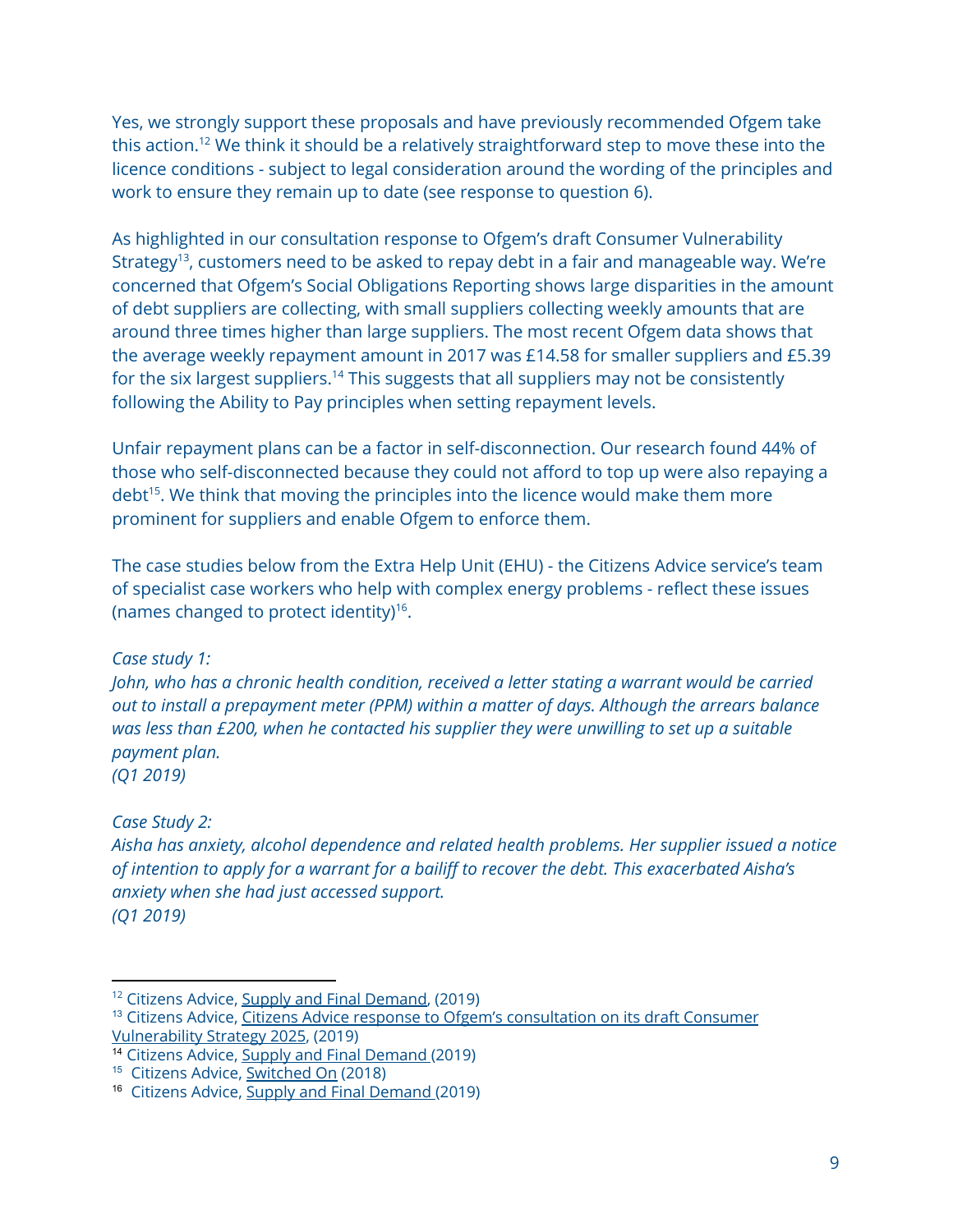Yes, we strongly support these proposals and have previously recommended Ofgem take this action.<sup>12</sup> We think it should be a relatively straightforward step to move these into the licence conditions - subject to legal consideration around the wording of the principles and work to ensure they remain up to date (see response to question 6).

As highlighted in our consultation response to Ofgem's draft Consumer Vulnerability Strategy<sup>13</sup>, customers need to be asked to repay debt in a fair and manageable way. We're concerned that Ofgem's Social Obligations Reporting shows large disparities in the amount of debt suppliers are collecting, with small suppliers collecting weekly amounts that are around three times higher than large suppliers. The most recent Ofgem data shows that the average weekly repayment amount in 2017 was £14.58 for smaller suppliers and £5.39 for the six largest suppliers.<sup>14</sup> This suggests that all suppliers may not be consistently following the Ability to Pay principles when setting repayment levels.

Unfair repayment plans can be a factor in self-disconnection. Our research found 44% of those who self-disconnected because they could not afford to top up were also repaying a debt<sup>15</sup>. We think that moving the principles into the licence would make them more prominent for suppliers and enable Ofgem to enforce them.

The case studies below from the Extra Help Unit (EHU) - the Citizens Advice service's team of specialist case workers who help with complex energy problems - reflect these issues (names changed to protect identity)<sup>16</sup>.

*Case study 1:*

*John, who has a chronic health condition, received a letter stating a warrant would be carried out to install a prepayment meter (PPM) within a matter of days. Although the arrears balance was less than £200, when he contacted his supplier they were unwilling to set up a suitable payment plan. (Q1 2019)*

*Case Study 2:*

*Aisha has anxiety, alcohol dependence and related health problems. Her supplier issued a notice of intention to apply for a warrant for a bailiff to recover the debt. This exacerbated Aisha's anxiety when she had just accessed support. (Q1 2019)*

<sup>&</sup>lt;sup>12</sup> Citizens Advice, Supply and Final [Demand](https://www.citizensadvice.org.uk/Global/CitizensAdvice/Energy/Supply%20and%20final%20demand.pdf), (2019)

<sup>&</sup>lt;sup>13</sup> Citizens Advice, Citizens Advice response to Ofgem's [consultation](https://www.citizensadvice.org.uk/about-us/policy/policy-research-topics/energy-policy-research-and-consultation-responses/energy-consultation-responses/citizens-advice-response-to-ofgems-consultation-on-its-draft-consumer-vulnerability-strategy-2025/) on its draft Consumer [Vulnerability](https://www.citizensadvice.org.uk/about-us/policy/policy-research-topics/energy-policy-research-and-consultation-responses/energy-consultation-responses/citizens-advice-response-to-ofgems-consultation-on-its-draft-consumer-vulnerability-strategy-2025/) Strategy 2025, (2019)

<sup>14</sup> Citizens Advice, Supply and Final Demand (2019)

<sup>&</sup>lt;sup>15</sup> Citizens Advice, **[Switched](https://www.citizensadvice.org.uk/about-us/policy/policy-research-topics/energy-policy-research-and-consultation-responses/energy-policy-research/improving-support-for-prepay-customers-self-disconnecting/) On** (2018)

<sup>16</sup> Citizens Advice, Supply and Final Demand (2019)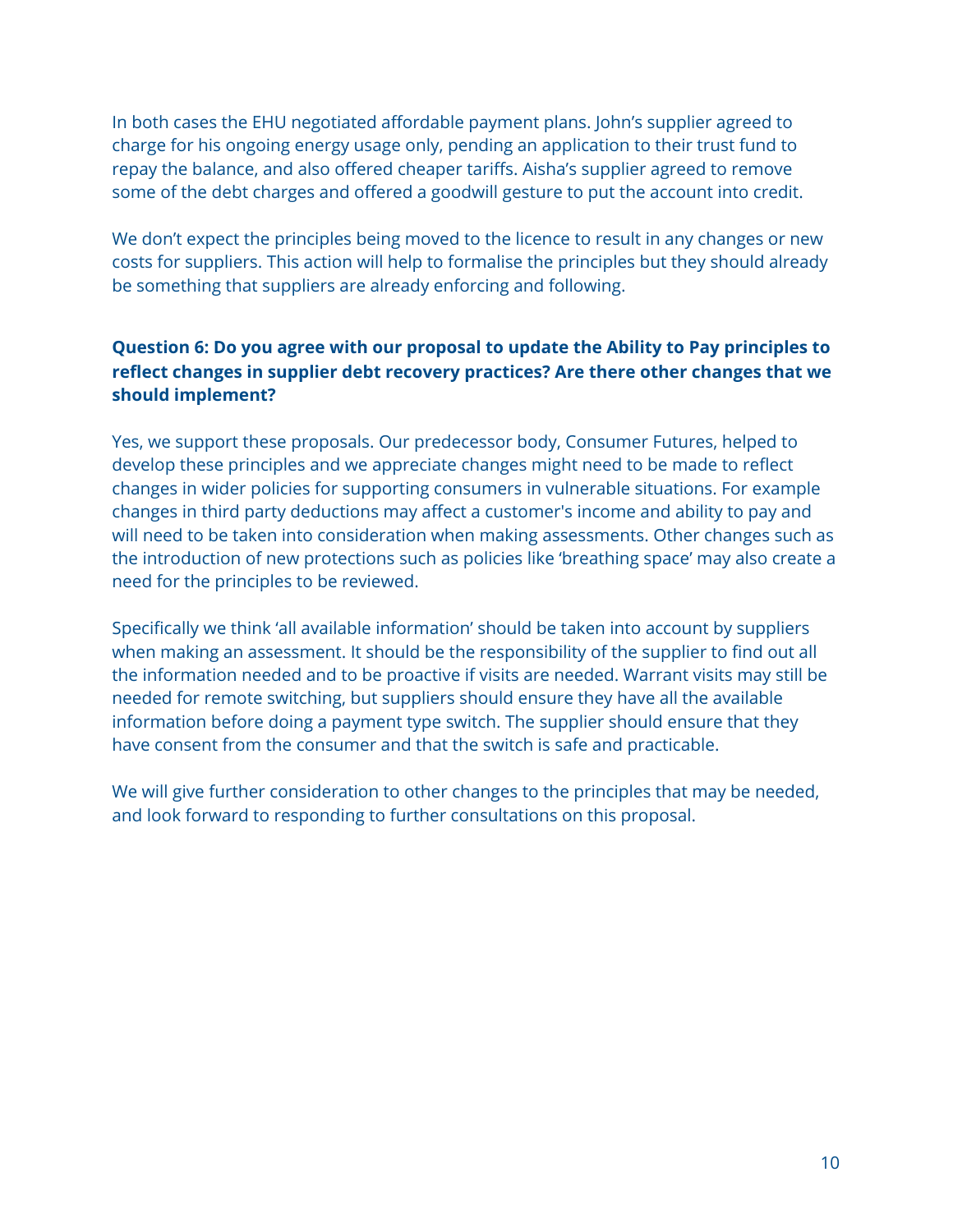In both cases the EHU negotiated affordable payment plans. John's supplier agreed to charge for his ongoing energy usage only, pending an application to their trust fund to repay the balance, and also offered cheaper tariffs. Aisha's supplier agreed to remove some of the debt charges and offered a goodwill gesture to put the account into credit.

We don't expect the principles being moved to the licence to result in any changes or new costs for suppliers. This action will help to formalise the principles but they should already be something that suppliers are already enforcing and following.

# **Question 6: Do you agree with our proposal to update the Ability to Pay principles to reflect changes in supplier debt recovery practices? Are there other changes that we should implement?**

Yes, we support these proposals. Our predecessor body, Consumer Futures, helped to develop these principles and we appreciate changes might need to be made to reflect changes in wider policies for supporting consumers in vulnerable situations. For example changes in third party deductions may affect a customer's income and ability to pay and will need to be taken into consideration when making assessments. Other changes such as the introduction of new protections such as policies like 'breathing space' may also create a need for the principles to be reviewed.

Specifically we think 'all available information' should be taken into account by suppliers when making an assessment. It should be the responsibility of the supplier to find out all the information needed and to be proactive if visits are needed. Warrant visits may still be needed for remote switching, but suppliers should ensure they have all the available information before doing a payment type switch. The supplier should ensure that they have consent from the consumer and that the switch is safe and practicable.

We will give further consideration to other changes to the principles that may be needed, and look forward to responding to further consultations on this proposal.